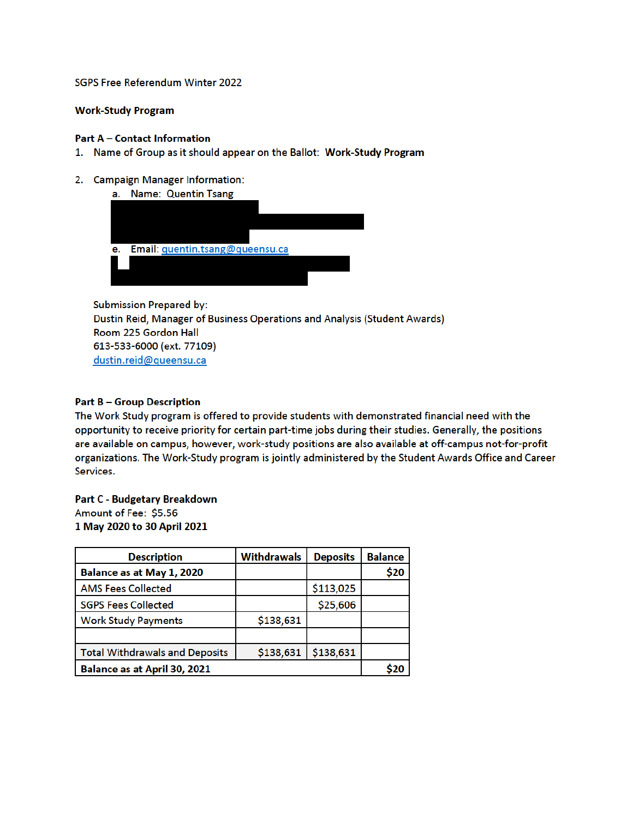SGPS Free Referendum Winter 2022

## **Work-Study Program**

## **Part A - Contact Information**

- 1. Name of Group as it should appear on the Ballot: Work-Study Program
- 2. Campaign Manager Information:

| а. | <b>Name: Quentin Tsang</b>      |  |
|----|---------------------------------|--|
|    |                                 |  |
|    |                                 |  |
|    |                                 |  |
|    |                                 |  |
| е. | Email: quentin.tsang@queensu.ca |  |
|    |                                 |  |
|    |                                 |  |

**Submission Prepared by:** Dustin Reid, Manager of Business Operations and Analysis (Student Awards) Room 225 Gordon Hall 613-533-6000 (ext. 77109) dustin.reid@queensu.ca

# **Part B-Group Description**

The Work Study program is offered to provide students with demonstrated financial need with the opportunity to receive priority for certain part-time jobs during their studies. Generally, the positions are available on campus, however, work-study positions are also available at off-campus not-for-profit organizations. The Work-Study program is jointly administered by the Student Awards Office and Career Services.

#### **Part C - Budgetary Breakdown**

Amount of Fee: \$5.56 1 May 2020 to 30 April 2021

| <b>Description</b>                    | <b>Withdrawals</b> | <b>Deposits</b> | <b>Balance</b> |
|---------------------------------------|--------------------|-----------------|----------------|
| Balance as at May 1, 2020             |                    |                 | \$20           |
| <b>AMS Fees Collected</b>             |                    | \$113,025       |                |
| <b>SGPS Fees Collected</b>            |                    | \$25,606        |                |
| <b>Work Study Payments</b>            | \$138,631          |                 |                |
|                                       |                    |                 |                |
| <b>Total Withdrawals and Deposits</b> | \$138,631          | \$138,631       |                |
| Balance as at April 30, 2021          |                    |                 |                |